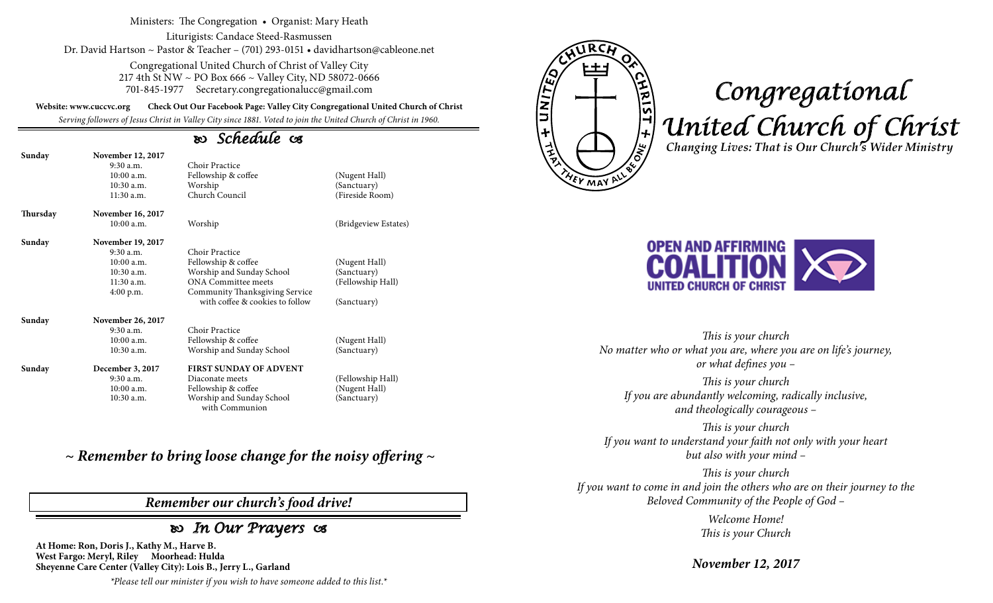#### Ministers: The Congregation • Organist: Mary Heath

Liturigists: Candace Steed-Rasmussen Dr. David Hartson ~ Pastor & Teacher – (701) 293-0151 • davidhartson@cableone.net

> Congregational United Church of Christ of Valley City 217 4th St NW ~ PO Box 666 ~ Valley City, ND 58072-0666 701-845-1977 Secretary.congregationalucc@gmail.com

**Website: www.cuccvc.org Check Out Our Facebook Page: Valley City Congregational United Church of Christ**

*Serving followers of Jesus Christ in Valley City since 1881. Voted to join the United Church of Christ in 1960.*

# *Schedule*

| Sunday   | November 12, 2017<br>$9:30$ a.m.<br>10:00a.m.<br>$10:30$ a.m.<br>$11:30$ a.m. | Choir Practice<br>Fellowship & coffee<br>Worship<br>Church Council | (Nugent Hall)<br>(Sanctuary)<br>(Fireside Room) |
|----------|-------------------------------------------------------------------------------|--------------------------------------------------------------------|-------------------------------------------------|
| Thursday | <b>November 16, 2017</b>                                                      |                                                                    |                                                 |
|          | $10:00$ a.m.                                                                  | Worship                                                            | (Bridgeview Estates)                            |
| Sunday   | <b>November 19, 2017</b>                                                      |                                                                    |                                                 |
|          | $9:30$ a.m.                                                                   | Choir Practice                                                     |                                                 |
|          | 10:00 a.m.                                                                    | Fellowship & coffee                                                | (Nugent Hall)                                   |
|          | $10:30$ a.m.                                                                  | Worship and Sunday School                                          | (Sanctuary)                                     |
|          | $11:30$ a.m.                                                                  | <b>ONA Committee meets</b>                                         | (Fellowship Hall)                               |
|          | $4:00$ p.m.                                                                   | Community Thanksgiving Service                                     |                                                 |
|          |                                                                               | with coffee & cookies to follow                                    | (Sanctuary)                                     |
| Sunday   | November 26, 2017                                                             |                                                                    |                                                 |
|          | $9:30$ a.m.                                                                   | Choir Practice                                                     |                                                 |
|          | 10:00a.m.                                                                     | Fellowship & coffee                                                | (Nugent Hall)                                   |
|          | $10:30$ a.m.                                                                  | Worship and Sunday School                                          | (Sanctuary)                                     |
| Sunday   | December 3, 2017                                                              | <b>FIRST SUNDAY OF ADVENT</b>                                      |                                                 |
|          | $9:30$ a.m.                                                                   | Diaconate meets                                                    | (Fellowship Hall)                               |
|          | $10:00$ a.m.                                                                  | Fellowship & coffee                                                | (Nugent Hall)                                   |
|          | 10:30 a.m.                                                                    | Worship and Sunday School<br>with Communion                        | (Sanctuary)                                     |

*~ Remember to bring loose change for the noisy offering ~*

# *Remember our church's food drive!*

# *In Our Prayers*

**At Home: Ron, Doris J., Kathy M., Harve B. West Fargo: Meryl, Riley Moorhead: Hulda Sheyenne Care Center (Valley City): Lois B., Jerry L., Garland**

*\*Please tell our minister if you wish to have someone added to this list.\**



# *Congregational United Church of Christ Changing Lives: That is Our Church's Wider Ministry*



*This is your church No matter who or what you are, where you are on life's journey, or what defines you –*

*This is your church If you are abundantly welcoming, radically inclusive, and theologically courageous –*

*This is your church If you want to understand your faith not only with your heart but also with your mind –*

*This is your church If you want to come in and join the others who are on their journey to the Beloved Community of the People of God –*

> *Welcome Home! This is your Church*

*November 12, 2017*